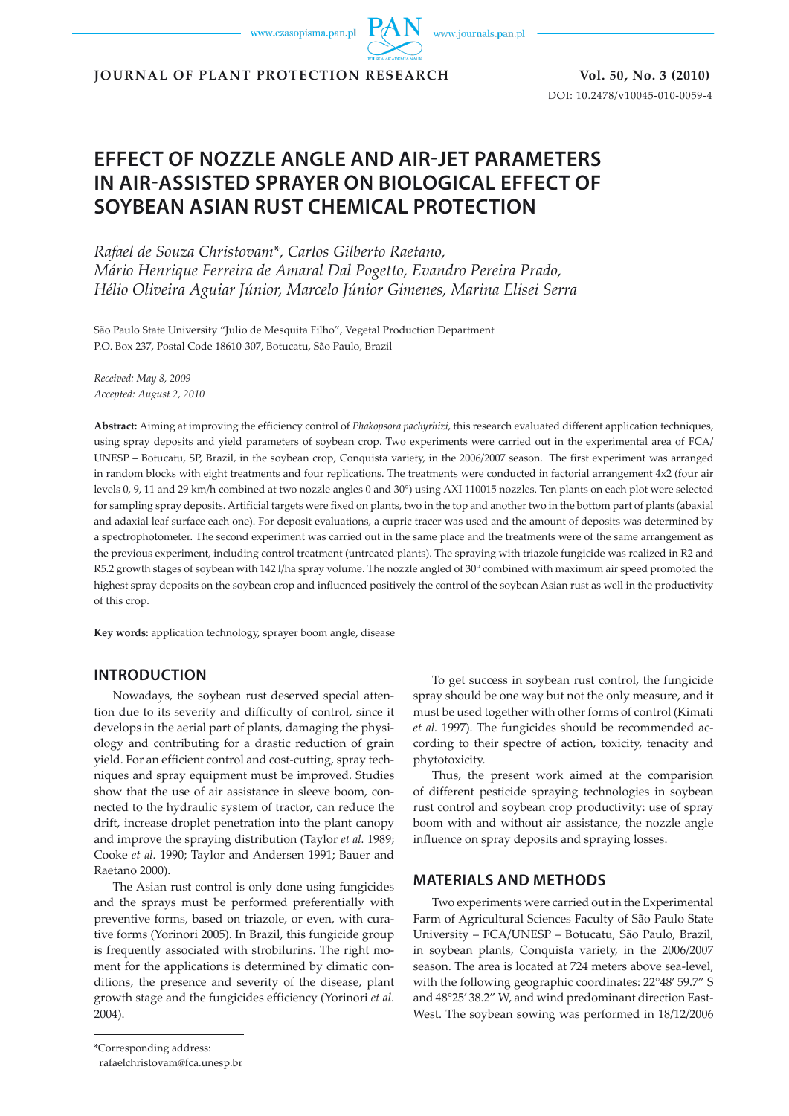www.czasopisma.pan.pl

www.journals.pan.pl

**JOURNAL OF PLANT PROTECTION RESEARCH** Vol. 50, No. 3 (2010)

DOI: 10.2478/v10045-010-0059-4

# **EFFECT OF NOZZLE ANGLE AND AIR-JET PARAMETERS IN AIR-ASSISTED SPRAYER ON BIOLOGICAL EFFECT OF SOYBEAN ASIAN RUST CHEMICAL PROTECTION**

*Rafael de Souza Christovam\*, Carlos Gilberto Raetano, Mário Henrique Ferreira de Amaral Dal Pogetto, Evandro Pereira Prado, Hélio Oliveira Aguiar Júnior, Marcelo Júnior Gimenes, Marina Elisei Serra*

São Paulo State University "Julio de Mesquita Filho", Vegetal Production Department P.O. Box 237, Postal Code 18610-307, Botucatu, São Paulo, Brazil

*Received: May 8, 2009 Accepted: August 2, 2010*

**Abstract:** Aiming at improving the efficiency control of *Phakopsora pachyrhizi*, this research evaluated different application techniques, using spray deposits and yield parameters of soybean crop. Two experiments were carried out in the experimental area of FCA/ UNESP – Botucatu, SP, Brazil, in the soybean crop, Conquista variety, in the 2006/2007 season. The first experiment was arranged in random blocks with eight treatments and four replications. The treatments were conducted in factorial arrangement 4x2 (four air levels 0, 9, 11 and 29 km/h combined at two nozzle angles 0 and 30°) using AXI 110015 nozzles. Ten plants on each plot were selected for sampling spray deposits. Artificial targets were fixed on plants, two in the top and another two in the bottom part of plants (abaxial and adaxial leaf surface each one). For deposit evaluations, a cupric tracer was used and the amount of deposits was determined by a spectrophotometer. The second experiment was carried out in the same place and the treatments were of the same arrangement as the previous experiment, including control treatment (untreated plants). The spraying with triazole fungicide was realized in R2 and R5.2 growth stages of soybean with 142 l/ha spray volume. The nozzle angled of 30° combined with maximum air speed promoted the highest spray deposits on the soybean crop and influenced positively the control of the soybean Asian rust as well in the productivity of this crop.

**Key words:** application technology, sprayer boom angle, disease

## **INTRODUCTION**

Nowadays, the soybean rust deserved special attention due to its severity and difficulty of control, since it develops in the aerial part of plants, damaging the physiology and contributing for a drastic reduction of grain yield. For an efficient control and cost-cutting, spray techniques and spray equipment must be improved. Studies show that the use of air assistance in sleeve boom, connected to the hydraulic system of tractor, can reduce the drift, increase droplet penetration into the plant canopy and improve the spraying distribution (Taylor *et al.* 1989; Cooke *et al.* 1990; Taylor and Andersen 1991; Bauer and Raetano 2000).

The Asian rust control is only done using fungicides and the sprays must be performed preferentially with preventive forms, based on triazole, or even, with curative forms (Yorinori 2005). In Brazil, this fungicide group is frequently associated with strobilurins. The right moment for the applications is determined by climatic conditions, the presence and severity of the disease, plant growth stage and the fungicides efficiency (Yorinori *et al.* 2004).

To get success in soybean rust control, the fungicide spray should be one way but not the only measure, and it must be used together with other forms of control (Kimati *et al.* 1997). The fungicides should be recommended according to their spectre of action, toxicity, tenacity and phytotoxicity.

Thus, the present work aimed at the comparision of different pesticide spraying technologies in soybean rust control and soybean crop productivity: use of spray boom with and without air assistance, the nozzle angle influence on spray deposits and spraying losses.

### **MATERIALS AND METHODS**

Two experiments were carried out in the Experimental Farm of Agricultural Sciences Faculty of São Paulo State University – FCA/UNESP – Botucatu, São Paulo, Brazil, in soybean plants, Conquista variety, in the 2006/2007 season. The area is located at 724 meters above sea-level, with the following geographic coordinates: 22°48' 59.7" S and 48°25' 38.2" W, and wind predominant direction East-West. The soybean sowing was performed in 18/12/2006

<sup>\*</sup>Corresponding address:

rafaelchristovam@fca.unesp.br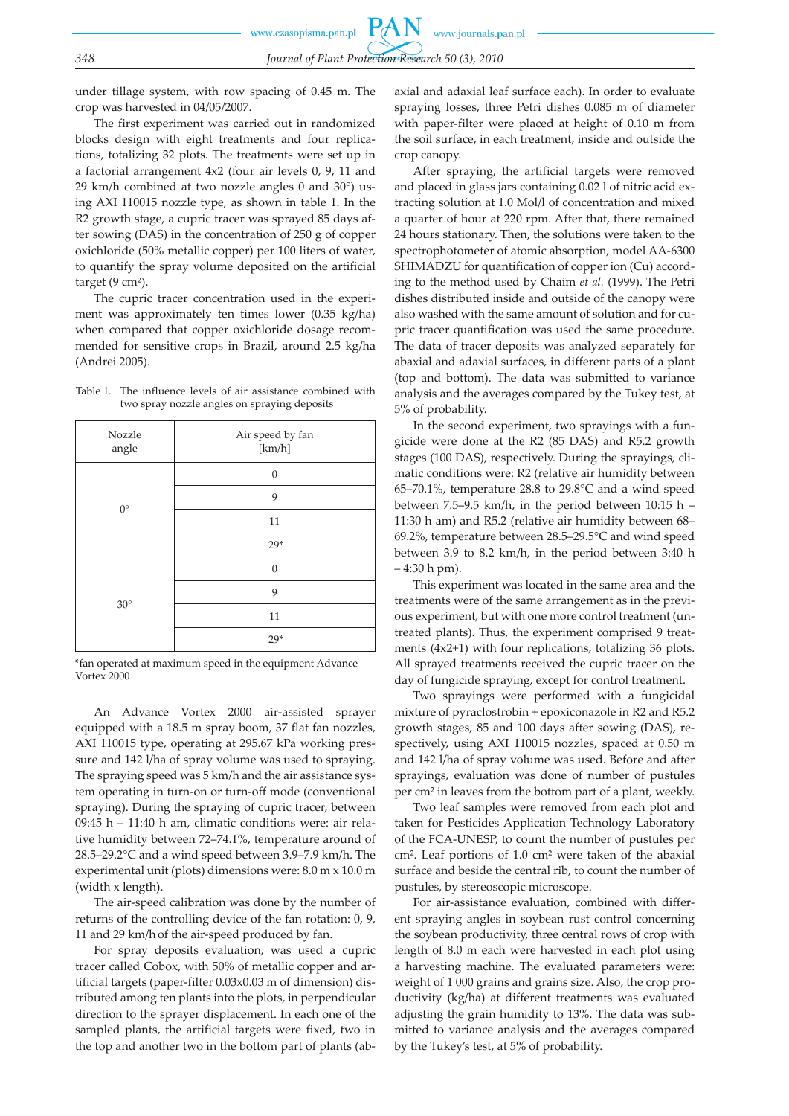under tillage system, with row spacing of 0.45 m. The crop was harvested in 04/05/2007.

The first experiment was carried out in randomized blocks design with eight treatments and four replications, totalizing 32 plots. The treatments were set up in a factorial arrangement 4x2 (four air levels 0, 9, 11 and 29 km/h combined at two nozzle angles 0 and 30°) using AXI 110015 nozzle type, as shown in table 1. In the R2 growth stage, a cupric tracer was sprayed 85 days after sowing (DAS) in the concentration of 250 g of copper oxichloride (50% metallic copper) per 100 liters of water, to quantify the spray volume deposited on the artificial target (9 cm²).

The cupric tracer concentration used in the experiment was approximately ten times lower (0.35 kg/ha) when compared that copper oxichloride dosage recommended for sensitive crops in Brazil, around 2.5 kg/ha (Andrei 2005).

| Table 1. The influence levels of air assistance combined with |
|---------------------------------------------------------------|
| two spray nozzle angles on spraying deposits                  |

| Nozzle<br>angle | Air speed by fan<br>[km/h] |
|-----------------|----------------------------|
|                 | $\Omega$                   |
| $0^{\circ}$     | 9                          |
|                 | 11                         |
|                 | $29*$                      |
|                 | $\Omega$                   |
| $30^\circ$      | 9                          |
|                 | 11                         |
|                 | $29*$                      |

\*fan operated at maximum speed in the equipment Advance Vortex 2000

An Advance Vortex 2000 air-assisted sprayer equipped with a 18.5 m spray boom, 37 flat fan nozzles, AXI 110015 type, operating at 295.67 kPa working pressure and 142 l/ha of spray volume was used to spraying. The spraying speed was 5 km/h and the air assistance system operating in turn-on or turn-off mode (conventional spraying). During the spraying of cupric tracer, between 09:45 h – 11:40 h am, climatic conditions were: air relative humidity between 72–74.1%, temperature around of 28.5–29.2°C and a wind speed between 3.9–7.9 km/h. The experimental unit (plots) dimensions were: 8.0 m x 10.0 m (width x length).

The air-speed calibration was done by the number of returns of the controlling device of the fan rotation: 0, 9, 11 and 29 km/h of the air-speed produced by fan.

For spray deposits evaluation, was used a cupric tracer called Cobox, with 50% of metallic copper and artificial targets (paper-filter 0.03x0.03 m of dimension) distributed among ten plants into the plots, in perpendicular direction to the sprayer displacement. In each one of the sampled plants, the artificial targets were fixed, two in the top and another two in the bottom part of plants (abaxial and adaxial leaf surface each). In order to evaluate spraying losses, three Petri dishes 0.085 m of diameter with paper-filter were placed at height of 0.10 m from the soil surface, in each treatment, inside and outside the crop canopy.

After spraying, the artificial targets were removed and placed in glass jars containing 0.02 l of nitric acid extracting solution at 1.0 Mol/l of concentration and mixed a quarter of hour at 220 rpm. After that, there remained 24 hours stationary. Then, the solutions were taken to the spectrophotometer of atomic absorption, model AA-6300 SHIMADZU for quantification of copper ion (Cu) according to the method used by Chaim *et al.* (1999). The Petri dishes distributed inside and outside of the canopy were also washed with the same amount of solution and for cupric tracer quantification was used the same procedure. The data of tracer deposits was analyzed separately for abaxial and adaxial surfaces, in different parts of a plant (top and bottom). The data was submitted to variance analysis and the averages compared by the Tukey test, at 5% of probability.

In the second experiment, two sprayings with a fungicide were done at the R2 (85 DAS) and R5.2 growth stages (100 DAS), respectively. During the sprayings, climatic conditions were: R2 (relative air humidity between 65–70.1%, temperature 28.8 to 29.8°C and a wind speed between 7.5–9.5 km/h, in the period between 10:15 h – 11:30 h am) and R5.2 (relative air humidity between 68– 69.2%, temperature between 28.5–29.5°C and wind speed between 3.9 to 8.2 km/h, in the period between 3:40 h – 4:30 h pm).

This experiment was located in the same area and the treatments were of the same arrangement as in the previous experiment, but with one more control treatment (untreated plants). Thus, the experiment comprised 9 treatments (4x2+1) with four replications, totalizing 36 plots. All sprayed treatments received the cupric tracer on the day of fungicide spraying, except for control treatment.

Two sprayings were performed with a fungicidal mixture of pyraclostrobin + epoxiconazole in R2 and R5.2 growth stages, 85 and 100 days after sowing (DAS), respectively, using AXI 110015 nozzles, spaced at 0.50 m and 142 l/ha of spray volume was used. Before and after sprayings, evaluation was done of number of pustules per cm² in leaves from the bottom part of a plant, weekly.

Two leaf samples were removed from each plot and taken for Pesticides Application Technology Laboratory of the FCA-UNESP, to count the number of pustules per cm². Leaf portions of 1.0 cm² were taken of the abaxial surface and beside the central rib, to count the number of pustules, by stereoscopic microscope.

For air-assistance evaluation, combined with different spraying angles in soybean rust control concerning the soybean productivity, three central rows of crop with length of 8.0 m each were harvested in each plot using a harvesting machine. The evaluated parameters were: weight of 1 000 grains and grains size. Also, the crop productivity (kg/ha) at different treatments was evaluated adjusting the grain humidity to 13%. The data was submitted to variance analysis and the averages compared by the Tukey's test, at 5% of probability.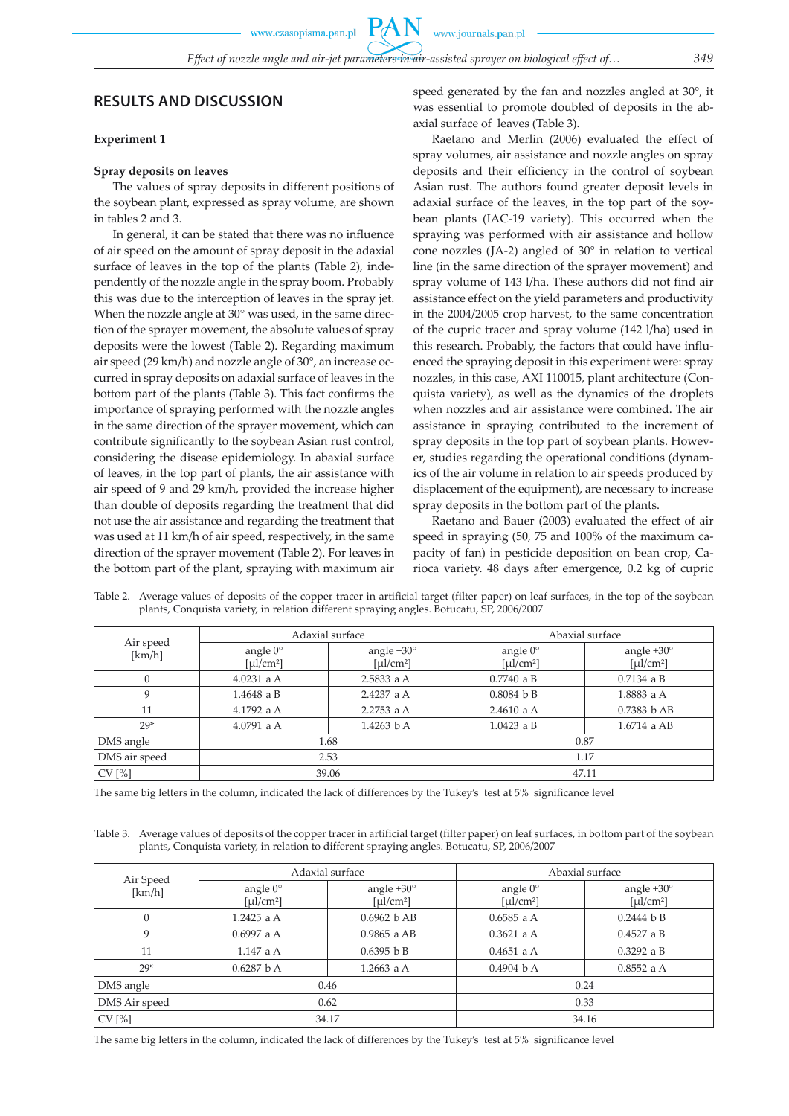### **Experiment 1**

#### **Spray deposits on leaves**

The values of spray deposits in different positions of the soybean plant, expressed as spray volume, are shown in tables 2 and 3.

In general, it can be stated that there was no influence of air speed on the amount of spray deposit in the adaxial surface of leaves in the top of the plants (Table 2), independently of the nozzle angle in the spray boom. Probably this was due to the interception of leaves in the spray jet. When the nozzle angle at 30° was used, in the same direction of the sprayer movement, the absolute values of spray deposits were the lowest (Table 2). Regarding maximum air speed (29 km/h) and nozzle angle of 30°, an increase occurred in spray deposits on adaxial surface of leaves in the bottom part of the plants (Table 3). This fact confirms the importance of spraying performed with the nozzle angles in the same direction of the sprayer movement, which can contribute significantly to the soybean Asian rust control, considering the disease epidemiology. In abaxial surface of leaves, in the top part of plants, the air assistance with air speed of 9 and 29 km/h, provided the increase higher than double of deposits regarding the treatment that did not use the air assistance and regarding the treatment that was used at 11 km/h of air speed, respectively, in the same direction of the sprayer movement (Table 2). For leaves in the bottom part of the plant, spraying with maximum air speed generated by the fan and nozzles angled at 30°, it was essential to promote doubled of deposits in the abaxial surface of leaves (Table 3).

Raetano and Merlin (2006) evaluated the effect of spray volumes, air assistance and nozzle angles on spray deposits and their efficiency in the control of soybean Asian rust. The authors found greater deposit levels in adaxial surface of the leaves, in the top part of the soybean plants (IAC-19 variety). This occurred when the spraying was performed with air assistance and hollow cone nozzles (JA-2) angled of 30° in relation to vertical line (in the same direction of the sprayer movement) and spray volume of 143 l/ha. These authors did not find air assistance effect on the yield parameters and productivity in the 2004/2005 crop harvest, to the same concentration of the cupric tracer and spray volume (142 l/ha) used in this research. Probably, the factors that could have influenced the spraying deposit in this experiment were: spray nozzles, in this case, AXI 110015, plant architecture (Conquista variety), as well as the dynamics of the droplets when nozzles and air assistance were combined. The air assistance in spraying contributed to the increment of spray deposits in the top part of soybean plants. However, studies regarding the operational conditions (dynamics of the air volume in relation to air speeds produced by displacement of the equipment), are necessary to increase spray deposits in the bottom part of the plants.

Raetano and Bauer (2003) evaluated the effect of air speed in spraying (50, 75 and 100% of the maximum capacity of fan) in pesticide deposition on bean crop, Carioca variety. 48 days after emergence, 0.2 kg of cupric

| Air speed<br>[km/h] |                                                                                                                                                                                                                                                                                                                                                                                                                                                                                                                | Adaxial surface                                            | Abaxial surface                                                                                                                                                                                                                                                                                                                                                                                                                                                                                                  |                                                                                                                                                                                                                                                                                                                                                                                                                                                                                                                  |  |
|---------------------|----------------------------------------------------------------------------------------------------------------------------------------------------------------------------------------------------------------------------------------------------------------------------------------------------------------------------------------------------------------------------------------------------------------------------------------------------------------------------------------------------------------|------------------------------------------------------------|------------------------------------------------------------------------------------------------------------------------------------------------------------------------------------------------------------------------------------------------------------------------------------------------------------------------------------------------------------------------------------------------------------------------------------------------------------------------------------------------------------------|------------------------------------------------------------------------------------------------------------------------------------------------------------------------------------------------------------------------------------------------------------------------------------------------------------------------------------------------------------------------------------------------------------------------------------------------------------------------------------------------------------------|--|
|                     | angle $0^\circ$<br>$\lceil \mu \cdot \text{L} \cdot \text{L} \cdot \text{L} \cdot \text{L} \cdot \text{L} \cdot \text{L} \cdot \text{L} \cdot \text{L} \cdot \text{L} \cdot \text{L} \cdot \text{L} \cdot \text{L} \cdot \text{L} \cdot \text{L} \cdot \text{L} \cdot \text{L} \cdot \text{L} \cdot \text{L} \cdot \text{L} \cdot \text{L} \cdot \text{L} \cdot \text{L} \cdot \text{L} \cdot \text{L} \cdot \text{L} \cdot \text{L} \cdot \text{L} \cdot \text{L} \cdot \text{L} \cdot \text{L} \cdot \text{$ | angle $+30^\circ$<br>$\lceil \mu \cdot \text{Im}^2 \rceil$ | angle $0^{\circ}$<br>$\lceil \mu \cdot \text{L} \cdot \text{L} \cdot \text{L} \cdot \text{L} \cdot \text{L} \cdot \text{L} \cdot \text{L} \cdot \text{L} \cdot \text{L} \cdot \text{L} \cdot \text{L} \cdot \text{L} \cdot \text{L} \cdot \text{L} \cdot \text{L} \cdot \text{L} \cdot \text{L} \cdot \text{L} \cdot \text{L} \cdot \text{L} \cdot \text{L} \cdot \text{L} \cdot \text{L} \cdot \text{L} \cdot \text{L} \cdot \text{L} \cdot \text{L} \cdot \text{L} \cdot \text{L} \cdot \text{L} \cdot \text{$ | angle $+30^\circ$<br>$\lceil \mu \cdot \text{L} \cdot \text{L} \cdot \text{L} \cdot \text{L} \cdot \text{L} \cdot \text{L} \cdot \text{L} \cdot \text{L} \cdot \text{L} \cdot \text{L} \cdot \text{L} \cdot \text{L} \cdot \text{L} \cdot \text{L} \cdot \text{L} \cdot \text{L} \cdot \text{L} \cdot \text{L} \cdot \text{L} \cdot \text{L} \cdot \text{L} \cdot \text{L} \cdot \text{L} \cdot \text{L} \cdot \text{L} \cdot \text{L} \cdot \text{L} \cdot \text{L} \cdot \text{L} \cdot \text{L} \cdot \text{$ |  |
| 0                   | $4.0231$ a A                                                                                                                                                                                                                                                                                                                                                                                                                                                                                                   | 2.5833 a A                                                 | $0.7740$ a B                                                                                                                                                                                                                                                                                                                                                                                                                                                                                                     | $0.7134$ a B                                                                                                                                                                                                                                                                                                                                                                                                                                                                                                     |  |
| 9                   | $1.4648$ a B                                                                                                                                                                                                                                                                                                                                                                                                                                                                                                   | 2.4237 a A                                                 | 0.8084 b B                                                                                                                                                                                                                                                                                                                                                                                                                                                                                                       | 1.8883 a A                                                                                                                                                                                                                                                                                                                                                                                                                                                                                                       |  |
| 11                  | 4.1792 a A                                                                                                                                                                                                                                                                                                                                                                                                                                                                                                     | $2.2753$ a A                                               | $2.4610$ a A                                                                                                                                                                                                                                                                                                                                                                                                                                                                                                     | 0.7383 b AB                                                                                                                                                                                                                                                                                                                                                                                                                                                                                                      |  |
| $29*$               | $4.0791$ a A                                                                                                                                                                                                                                                                                                                                                                                                                                                                                                   | $1.4263$ b A                                               | $1.0423$ a B                                                                                                                                                                                                                                                                                                                                                                                                                                                                                                     | $1.6714$ a AB                                                                                                                                                                                                                                                                                                                                                                                                                                                                                                    |  |
| DMS angle           | 1.68                                                                                                                                                                                                                                                                                                                                                                                                                                                                                                           |                                                            | 0.87                                                                                                                                                                                                                                                                                                                                                                                                                                                                                                             |                                                                                                                                                                                                                                                                                                                                                                                                                                                                                                                  |  |
| DMS air speed       | 2.53                                                                                                                                                                                                                                                                                                                                                                                                                                                                                                           |                                                            | 1.17                                                                                                                                                                                                                                                                                                                                                                                                                                                                                                             |                                                                                                                                                                                                                                                                                                                                                                                                                                                                                                                  |  |
| CV[%]               |                                                                                                                                                                                                                                                                                                                                                                                                                                                                                                                | 39.06                                                      |                                                                                                                                                                                                                                                                                                                                                                                                                                                                                                                  | 47.11                                                                                                                                                                                                                                                                                                                                                                                                                                                                                                            |  |

Table 2. Average values of deposits of the copper tracer in artificial target (filter paper) on leaf surfaces, in the top of the soybean plants, Conquista variety, in relation different spraying angles. Botucatu, SP, 2006/2007

The same big letters in the column, indicated the lack of differences by the Tukey's test at 5% significance level

Table 3. Average values of deposits of the copper tracer in artificial target (filter paper) on leaf surfaces, in bottom part of the soybean plants, Conquista variety, in relation to different spraying angles. Botucatu, SP, 2006/2007

| Air Speed     |                               | Adaxial surface                                                                                                                                                                                                                                                                                                                                                                                                                                                                                                  | Abaxial surface                                                                                                                                                                                                                                                                                                                                                                                                                                                                                                  |                                                                                                                                                                                                                                                                                                                                                                                                                                                                                                                  |  |
|---------------|-------------------------------|------------------------------------------------------------------------------------------------------------------------------------------------------------------------------------------------------------------------------------------------------------------------------------------------------------------------------------------------------------------------------------------------------------------------------------------------------------------------------------------------------------------|------------------------------------------------------------------------------------------------------------------------------------------------------------------------------------------------------------------------------------------------------------------------------------------------------------------------------------------------------------------------------------------------------------------------------------------------------------------------------------------------------------------|------------------------------------------------------------------------------------------------------------------------------------------------------------------------------------------------------------------------------------------------------------------------------------------------------------------------------------------------------------------------------------------------------------------------------------------------------------------------------------------------------------------|--|
| [km/h]        | angle $0^\circ$<br>[µ $\mu$ ] | angle $+30^\circ$<br>$\lceil \mu \cdot \text{L} \cdot \text{L} \cdot \text{L} \cdot \text{L} \cdot \text{L} \cdot \text{L} \cdot \text{L} \cdot \text{L} \cdot \text{L} \cdot \text{L} \cdot \text{L} \cdot \text{L} \cdot \text{L} \cdot \text{L} \cdot \text{L} \cdot \text{L} \cdot \text{L} \cdot \text{L} \cdot \text{L} \cdot \text{L} \cdot \text{L} \cdot \text{L} \cdot \text{L} \cdot \text{L} \cdot \text{L} \cdot \text{L} \cdot \text{L} \cdot \text{L} \cdot \text{L} \cdot \text{L} \cdot \text{$ | angle $0^{\circ}$<br>$\lceil \mu \cdot \text{L} \cdot \text{L} \cdot \text{L} \cdot \text{L} \cdot \text{L} \cdot \text{L} \cdot \text{L} \cdot \text{L} \cdot \text{L} \cdot \text{L} \cdot \text{L} \cdot \text{L} \cdot \text{L} \cdot \text{L} \cdot \text{L} \cdot \text{L} \cdot \text{L} \cdot \text{L} \cdot \text{L} \cdot \text{L} \cdot \text{L} \cdot \text{L} \cdot \text{L} \cdot \text{L} \cdot \text{L} \cdot \text{L} \cdot \text{L} \cdot \text{L} \cdot \text{L} \cdot \text{L} \cdot \text{$ | angle $+30^\circ$<br>$\lceil \mu \cdot \text{L} \cdot \text{L} \cdot \text{L} \cdot \text{L} \cdot \text{L} \cdot \text{L} \cdot \text{L} \cdot \text{L} \cdot \text{L} \cdot \text{L} \cdot \text{L} \cdot \text{L} \cdot \text{L} \cdot \text{L} \cdot \text{L} \cdot \text{L} \cdot \text{L} \cdot \text{L} \cdot \text{L} \cdot \text{L} \cdot \text{L} \cdot \text{L} \cdot \text{L} \cdot \text{L} \cdot \text{L} \cdot \text{L} \cdot \text{L} \cdot \text{L} \cdot \text{L} \cdot \text{L} \cdot \text{$ |  |
| $\theta$      | 1.2425 a $A$                  | 0.6962 b AB                                                                                                                                                                                                                                                                                                                                                                                                                                                                                                      | $0.6585$ a A                                                                                                                                                                                                                                                                                                                                                                                                                                                                                                     | 0.2444 b B                                                                                                                                                                                                                                                                                                                                                                                                                                                                                                       |  |
| 9             | $0.6997$ a A                  | $0.9865$ a AB                                                                                                                                                                                                                                                                                                                                                                                                                                                                                                    | $0.3621$ a A                                                                                                                                                                                                                                                                                                                                                                                                                                                                                                     | $0.4527$ a B                                                                                                                                                                                                                                                                                                                                                                                                                                                                                                     |  |
| 11            | $1.147$ a A                   | 0.6395 b B                                                                                                                                                                                                                                                                                                                                                                                                                                                                                                       | $0.4651$ a A                                                                                                                                                                                                                                                                                                                                                                                                                                                                                                     | $0.3292$ a B                                                                                                                                                                                                                                                                                                                                                                                                                                                                                                     |  |
| $29*$         | 0.6287 bA                     | 1.2663 a $A$                                                                                                                                                                                                                                                                                                                                                                                                                                                                                                     | 0.4904 bA                                                                                                                                                                                                                                                                                                                                                                                                                                                                                                        | $0.8552$ a A                                                                                                                                                                                                                                                                                                                                                                                                                                                                                                     |  |
| DMS angle     | 0.46                          |                                                                                                                                                                                                                                                                                                                                                                                                                                                                                                                  |                                                                                                                                                                                                                                                                                                                                                                                                                                                                                                                  | 0.24                                                                                                                                                                                                                                                                                                                                                                                                                                                                                                             |  |
| DMS Air speed | 0.62                          |                                                                                                                                                                                                                                                                                                                                                                                                                                                                                                                  |                                                                                                                                                                                                                                                                                                                                                                                                                                                                                                                  | 0.33                                                                                                                                                                                                                                                                                                                                                                                                                                                                                                             |  |
| CV[%]         | 34.17                         |                                                                                                                                                                                                                                                                                                                                                                                                                                                                                                                  |                                                                                                                                                                                                                                                                                                                                                                                                                                                                                                                  | 34.16                                                                                                                                                                                                                                                                                                                                                                                                                                                                                                            |  |

The same big letters in the column, indicated the lack of differences by the Tukey's test at 5% significance level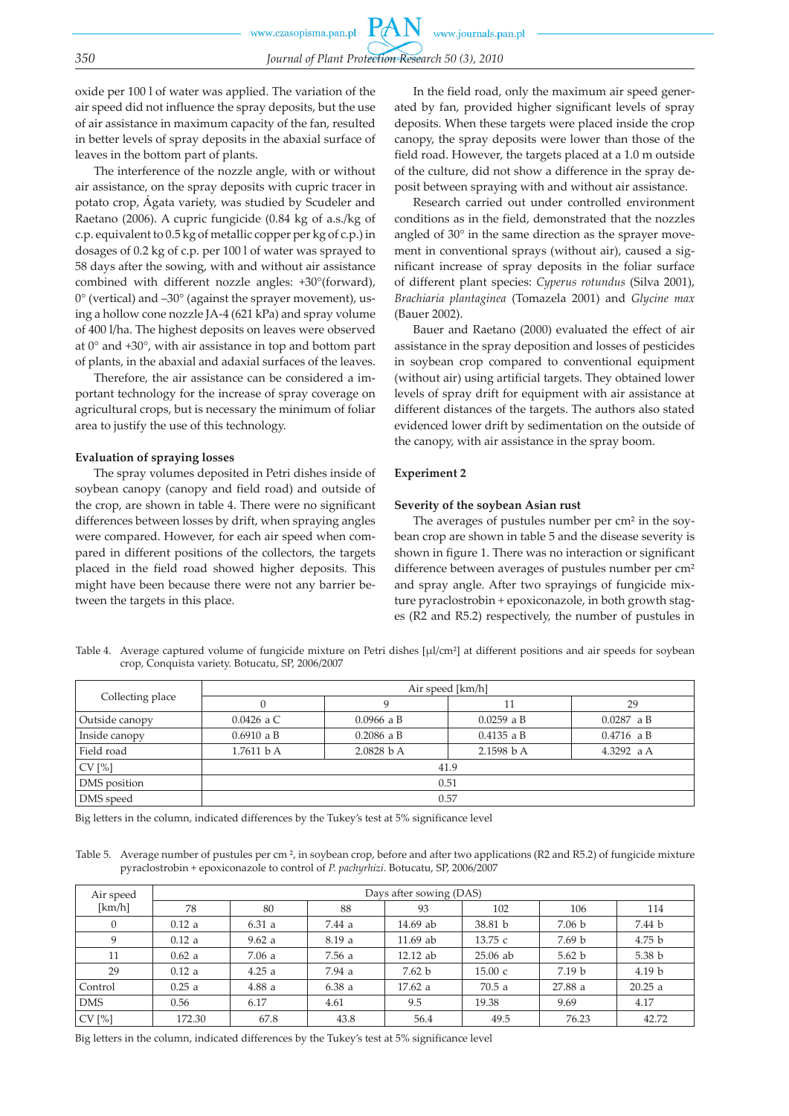oxide per 100 l of water was applied. The variation of the air speed did not influence the spray deposits, but the use of air assistance in maximum capacity of the fan, resulted in better levels of spray deposits in the abaxial surface of leaves in the bottom part of plants.

The interference of the nozzle angle, with or without air assistance, on the spray deposits with cupric tracer in potato crop, Ágata variety, was studied by Scudeler and Raetano (2006). A cupric fungicide (0.84 kg of a.s./kg of c.p. equivalent to 0.5 kg of metallic copper per kg of c.p.) in dosages of 0.2 kg of c.p. per 100 l of water was sprayed to 58 days after the sowing, with and without air assistance combined with different nozzle angles: +30°(forward),  $0^{\circ}$  (vertical) and  $-30^{\circ}$  (against the sprayer movement), using a hollow cone nozzle JA-4 (621 kPa) and spray volume of 400 l/ha. The highest deposits on leaves were observed at 0° and +30°, with air assistance in top and bottom part of plants, in the abaxial and adaxial surfaces of the leaves.

Therefore, the air assistance can be considered a important technology for the increase of spray coverage on agricultural crops, but is necessary the minimum of foliar area to justify the use of this technology.

#### **Evaluation of spraying losses**

The spray volumes deposited in Petri dishes inside of soybean canopy (canopy and field road) and outside of the crop, are shown in table 4. There were no significant differences between losses by drift, when spraying angles were compared. However, for each air speed when compared in different positions of the collectors, the targets placed in the field road showed higher deposits. This might have been because there were not any barrier between the targets in this place.

In the field road, only the maximum air speed generated by fan, provided higher significant levels of spray deposits. When these targets were placed inside the crop canopy, the spray deposits were lower than those of the field road. However, the targets placed at a 1.0 m outside of the culture, did not show a difference in the spray deposit between spraying with and without air assistance.

Research carried out under controlled environment conditions as in the field, demonstrated that the nozzles angled of 30° in the same direction as the sprayer movement in conventional sprays (without air), caused a significant increase of spray deposits in the foliar surface of different plant species: *Cyperus rotundus* (Silva 2001), *Brachiaria plantaginea* (Tomazela 2001) and *Glycine max* (Bauer 2002).

Bauer and Raetano (2000) evaluated the effect of air assistance in the spray deposition and losses of pesticides in soybean crop compared to conventional equipment (without air) using artificial targets. They obtained lower levels of spray drift for equipment with air assistance at different distances of the targets. The authors also stated evidenced lower drift by sedimentation on the outside of the canopy, with air assistance in the spray boom.

#### **Experiment 2**

#### **Severity of the soybean Asian rust**

The averages of pustules number per cm² in the soybean crop are shown in table 5 and the disease severity is shown in figure 1. There was no interaction or significant difference between averages of pustules number per cm<sup>2</sup> and spray angle. After two sprayings of fungicide mixture pyraclostrobin + epoxiconazole, in both growth stages (R2 and R5.2) respectively, the number of pustules in

Table 4. Average captured volume of fungicide mixture on Petri dishes [µl/cm²] at different positions and air speeds for soybean crop, Conquista variety. Botucatu, SP, 2006/2007

|                  | Air speed [km/h]                                     |              |              |              |  |  |  |  |
|------------------|------------------------------------------------------|--------------|--------------|--------------|--|--|--|--|
| Collecting place |                                                      | Q            | 11           | 29           |  |  |  |  |
| Outside canopy   | $0.0426$ a C                                         | $0.0966$ a B | $0.0259$ a B | $0.0287$ a B |  |  |  |  |
| Inside canopy    | $0.6910$ a B                                         | $0.2086$ a B | $0.4135$ a B | 0.4716 a B   |  |  |  |  |
| Field road       | 2.1598 b A<br>2.0828 bA<br>1.7611 bA<br>4.3292 $a A$ |              |              |              |  |  |  |  |
| CV[%]            | 41.9                                                 |              |              |              |  |  |  |  |
| DMS position     | 0.51                                                 |              |              |              |  |  |  |  |
| DMS speed        | 0.57                                                 |              |              |              |  |  |  |  |

Big letters in the column, indicated differences by the Tukey's test at 5% significance level

Table 5. Average number of pustules per cm  $\frac{2}{7}$ , in soybean crop, before and after two applications (R2 and R5.2) of fungicide mixture pyraclostrobin + epoxiconazole to control of *P. pachyrhizi*. Botucatu, SP, 2006/2007

| Air speed    |        |       |        | Days after sowing (DAS) |            |                   |                   |
|--------------|--------|-------|--------|-------------------------|------------|-------------------|-------------------|
| [km/h]       | 78     | 80    | 88     | 93                      | 102        | 106               | 114               |
| $\mathbf{0}$ | 0.12a  | 6.31a | 7.44 a | 14.69 ab                | 38.81 b    | 7.06 b            | 7.44 b            |
| 9            | 0.12a  | 9.62a | 8.19a  | $11.69$ ab              | 13.75c     | 7.69 <sub>b</sub> | 4.75 <sub>b</sub> |
| 11           | 0.62a  | 7.06a | 7.56 a | 12.12 ab                | $25.06$ ab | 5.62 b            | 5.38 <sub>b</sub> |
| 29           | 0.12a  | 4.25a | 7.94 a | 7.62 b                  | 15.00c     | 7.19 <sub>b</sub> | 4.19 <sub>b</sub> |
| Control      | 0.25a  | 4.88a | 6.38a  | 17.62 a                 | 70.5a      | 27.88 a           | 20.25a            |
| <b>DMS</b>   | 0.56   | 6.17  | 4.61   | 9.5                     | 19.38      | 9.69              | 4.17              |
| CV[%]        | 172.30 | 67.8  | 43.8   | 56.4                    | 49.5       | 76.23             | 42.72             |

Big letters in the column, indicated differences by the Tukey's test at 5% significance level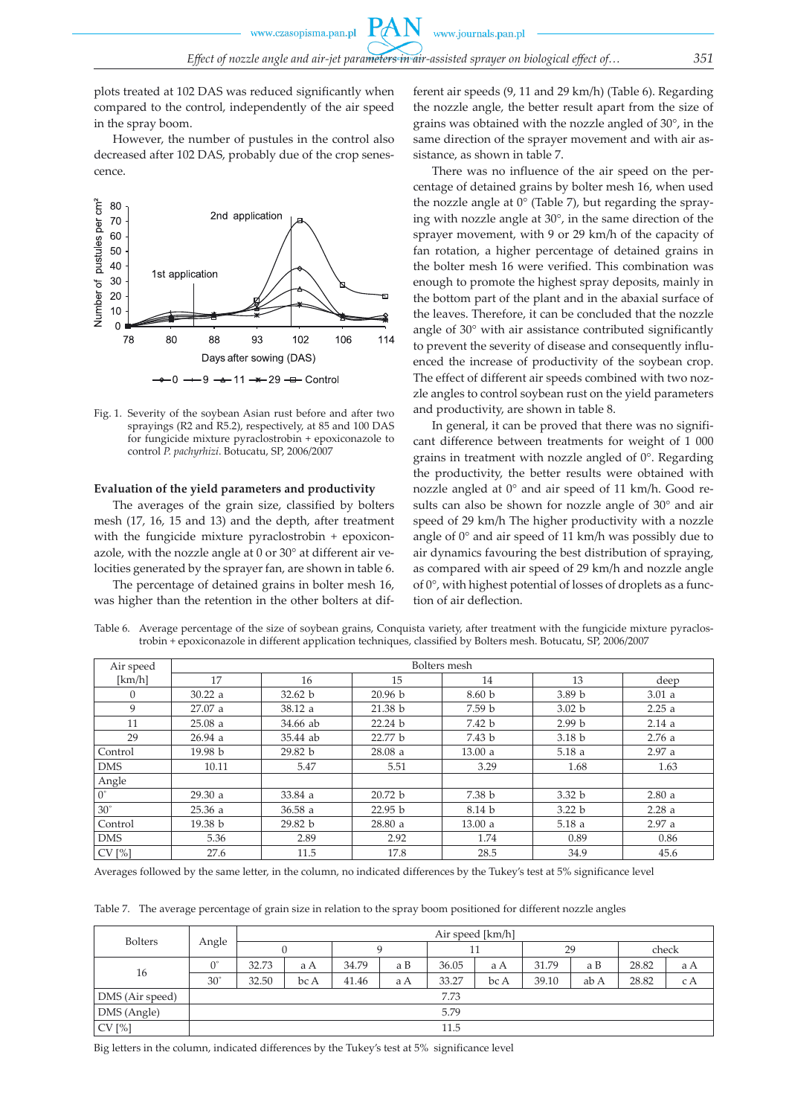plots treated at 102 DAS was reduced significantly when compared to the control, independently of the air speed in the spray boom.

However, the number of pustules in the control also decreased after 102 DAS, probably due of the crop senescence.



Fig. 1. Severity of the soybean Asian rust before and after two sprayings (R2 and R5.2), respectively, at 85 and 100 DAS for fungicide mixture pyraclostrobin + epoxiconazole to control *P. pachyrhizi*. Botucatu, SP, 2006/2007

#### **Evaluation of the yield parameters and productivity**

The averages of the grain size, classified by bolters mesh (17, 16, 15 and 13) and the depth, after treatment with the fungicide mixture pyraclostrobin + epoxiconazole, with the nozzle angle at 0 or 30° at different air velocities generated by the sprayer fan, are shown in table 6.

The percentage of detained grains in bolter mesh 16, was higher than the retention in the other bolters at different air speeds (9, 11 and 29 km/h) (Table 6). Regarding the nozzle angle, the better result apart from the size of grains was obtained with the nozzle angled of 30°, in the same direction of the sprayer movement and with air assistance, as shown in table 7.

There was no influence of the air speed on the percentage of detained grains by bolter mesh 16, when used the nozzle angle at 0° (Table 7), but regarding the spraying with nozzle angle at 30°, in the same direction of the sprayer movement, with 9 or 29 km/h of the capacity of fan rotation, a higher percentage of detained grains in the bolter mesh 16 were verified. This combination was enough to promote the highest spray deposits, mainly in the bottom part of the plant and in the abaxial surface of the leaves. Therefore, it can be concluded that the nozzle angle of 30° with air assistance contributed significantly to prevent the severity of disease and consequently influenced the increase of productivity of the soybean crop. The effect of different air speeds combined with two nozzle angles to control soybean rust on the yield parameters and productivity, are shown in table 8.

In general, it can be proved that there was no significant difference between treatments for weight of 1 000 grains in treatment with nozzle angled of 0°. Regarding the productivity, the better results were obtained with nozzle angled at 0° and air speed of 11 km/h. Good results can also be shown for nozzle angle of 30° and air speed of 29 km/h The higher productivity with a nozzle angle of 0° and air speed of 11 km/h was possibly due to air dynamics favouring the best distribution of spraying, as compared with air speed of 29 km/h and nozzle angle of 0°, with highest potential of losses of droplets as a function of air deflection.

| Air speed   | Bolters mesh       |          |                    |                   |                   |       |  |  |  |
|-------------|--------------------|----------|--------------------|-------------------|-------------------|-------|--|--|--|
| [km/h]      | 17                 | 16       | 15                 | 14                | 13                | deep  |  |  |  |
| $\theta$    | 30.22 a            | 32.62 b  | 20.96 b            | 8.60 <sub>b</sub> | 3.89 <sub>b</sub> | 3.01a |  |  |  |
| 9           | 27.07a             | 38.12 a  | 21.38 b            | 7.59 b            | 3.02 b            | 2.25a |  |  |  |
| 11          | 25.08a             | 34.66 ab | 22.24 b            | 7.42 b            | 2.99 <sub>b</sub> | 2.14a |  |  |  |
| 29          | 26.94a             | 35.44 ab | 22.77 <sub>b</sub> | 7.43 <sub>b</sub> | 3.18 <sub>b</sub> | 2.76a |  |  |  |
| Control     | 19.98 <sub>b</sub> | 29.82 b  | 28.08a             | 13.00a            | 5.18a             | 2.97a |  |  |  |
| <b>DMS</b>  | 10.11              | 5.47     | 5.51               | 3.29              | 1.68              | 1.63  |  |  |  |
| Angle       |                    |          |                    |                   |                   |       |  |  |  |
| $0^{\circ}$ | 29.30 a            | 33.84 a  | 20.72 b            | 7.38 b            | 3.32 b            | 2.80a |  |  |  |
| $30^\circ$  | 25.36a             | 36.58a   | 22.95 b            | 8.14 b            | 3.22 b            | 2.28a |  |  |  |
| Control     | 19.38 b            | 29.82 b  | 28.80a             | 13.00 a           | 5.18a             | 2.97a |  |  |  |
| <b>DMS</b>  | 5.36               | 2.89     | 2.92               | 1.74              | 0.89              | 0.86  |  |  |  |
| CV[%]       | 27.6               | 11.5     | 17.8               | 28.5              | 34.9              | 45.6  |  |  |  |

Table 6. Average percentage of the size of soybean grains, Conquista variety, after treatment with the fungicide mixture pyraclostrobin + epoxiconazole in different application techniques, classified by Bolters mesh. Botucatu, SP, 2006/2007

Averages followed by the same letter, in the column, no indicated differences by the Tukey's test at 5% significance level

Table 7. The average percentage of grain size in relation to the spray boom positioned for different nozzle angles

| <b>Bolters</b>  |             | Air speed [km/h] |      |       |     |       |      |       |      |       |       |
|-----------------|-------------|------------------|------|-------|-----|-------|------|-------|------|-------|-------|
|                 | Angle       |                  |      |       |     | 11    |      |       | 29   |       | check |
| 16              | $0^{\circ}$ | 32.73            | a A  | 34.79 | a B | 36.05 | a A  | 31.79 | a B  | 28.82 | a A   |
|                 | $30^\circ$  | 32.50            | bc A | 41.46 | a A | 33.27 | bc A | 39.10 | ab A | 28.82 | c A   |
| DMS (Air speed) |             | 7.73             |      |       |     |       |      |       |      |       |       |
| DMS (Angle)     |             | 5.79             |      |       |     |       |      |       |      |       |       |
| CV[%]           |             | 11.5             |      |       |     |       |      |       |      |       |       |

Big letters in the column, indicated differences by the Tukey's test at 5% significance level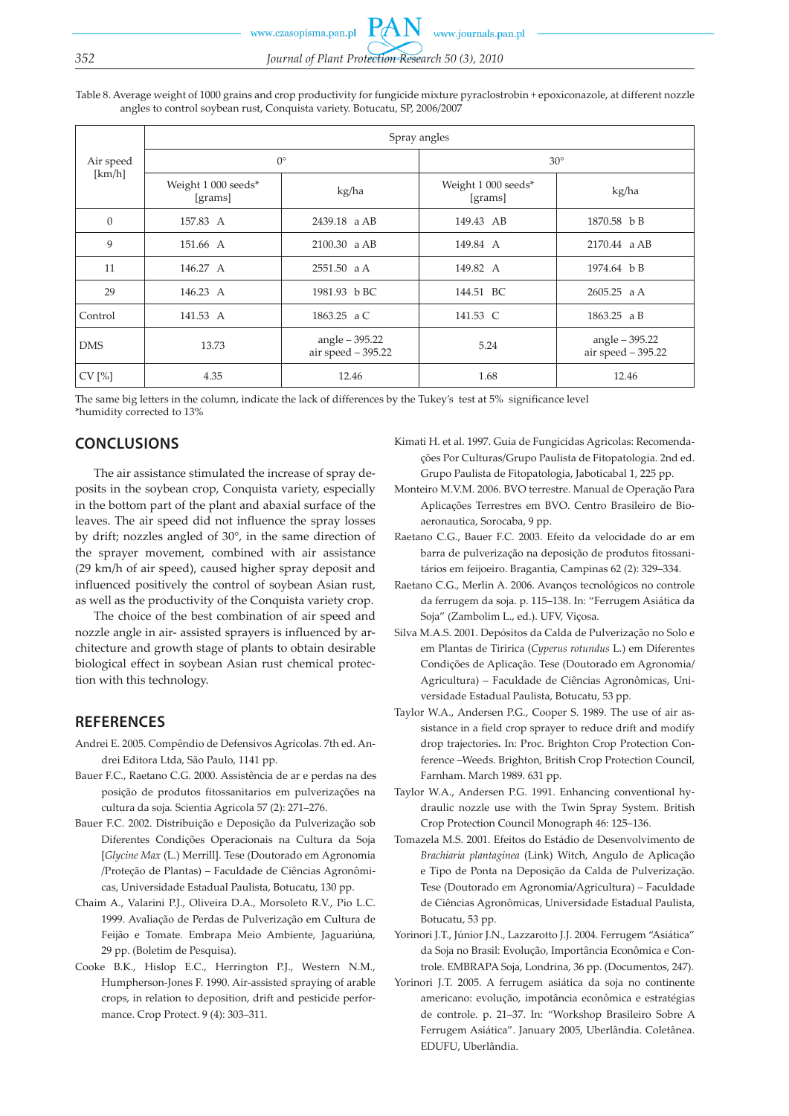www.czasopisma.pan.pl

www.journals.pan.pl

# *352 Journal of Plant Protection Research 50 (3), 2010*

Table 8. Average weight of 1000 grains and crop productivity for fungicide mixture pyraclostrobin + epoxiconazole, at different nozzle angles to control soybean rust, Conquista variety. Botucatu, SP, 2006/2007

| Air speed<br>[km/h] | Spray angles                   |                                      |                                |                                      |  |  |  |  |  |
|---------------------|--------------------------------|--------------------------------------|--------------------------------|--------------------------------------|--|--|--|--|--|
|                     |                                | $0^{\circ}$                          | $30^\circ$                     |                                      |  |  |  |  |  |
|                     | Weight 1 000 seeds*<br>[grams] | kg/ha                                | Weight 1 000 seeds*<br>[grams] | kg/ha                                |  |  |  |  |  |
| $\theta$            | 157.83 A                       | 2439.18 a AB                         | 149.43 AB                      | 1870.58 b B                          |  |  |  |  |  |
| 9                   | 151.66 A                       | 2100.30 a AB                         | 149.84 A                       | 2170.44 a AB                         |  |  |  |  |  |
| 11                  | 146.27 A                       | $2551.50$ a A                        | 149.82 A                       | 1974.64 b B                          |  |  |  |  |  |
| 29                  | 146.23 A                       | 1981.93 bBC                          | 144.51 BC                      | $2605.25$ a A                        |  |  |  |  |  |
| Control             | 141.53 A                       | 1863.25 a C                          | 141.53 C                       | 1863.25 a B                          |  |  |  |  |  |
| <b>DMS</b>          | 13.73                          | angle - 395.22<br>air speed - 395.22 | 5.24                           | angle - 395.22<br>air speed - 395.22 |  |  |  |  |  |
| CV[%]               | 4.35                           | 12.46                                | 1.68                           | 12.46                                |  |  |  |  |  |

The same big letters in the column, indicate the lack of differences by the Tukey's test at 5% significance level \*humidity corrected to 13%

## **CONCLUSIONS**

The air assistance stimulated the increase of spray deposits in the soybean crop, Conquista variety, especially in the bottom part of the plant and abaxial surface of the leaves. The air speed did not influence the spray losses by drift; nozzles angled of 30°, in the same direction of the sprayer movement, combined with air assistance (29 km/h of air speed), caused higher spray deposit and influenced positively the control of soybean Asian rust, as well as the productivity of the Conquista variety crop.

The choice of the best combination of air speed and nozzle angle in air- assisted sprayers is influenced by architecture and growth stage of plants to obtain desirable biological effect in soybean Asian rust chemical protection with this technology.

## **REFERENCES**

- Andrei E. 2005. Compêndio de Defensivos Agrícolas. 7th ed. Andrei Editora Ltda, São Paulo, 1141 pp.
- Bauer F.C., Raetano C.G. 2000. Assistência de ar e perdas na des posição de produtos fitossanitarios em pulverizações na cultura da soja*.* Scientia Agricola 57 (2): 271–276.
- Bauer F.C. 2002. Distribuição e Deposição da Pulverização sob Diferentes Condições Operacionais na Cultura da Soja [*Glycine Max* (L.) Merrill]. Tese (Doutorado em Agronomia /Proteção de Plantas) – Faculdade de Ciências Agronômicas, Universidade Estadual Paulista, Botucatu, 130 pp.
- Chaim A., Valarini P.J., Oliveira D.A., Morsoleto R.V., Pio L.C. 1999. Avaliação de Perdas de Pulverização em Cultura de Feijão e Tomate. Embrapa Meio Ambiente, Jaguariúna, 29 pp. (Boletim de Pesquisa).
- Cooke B.K., Hislop E.C., Herrington P.J., Western N.M., Humpherson-Jones F. 1990. Air-assisted spraying of arable crops, in relation to deposition, drift and pesticide performance. Crop Protect. 9 (4): 303–311.
- Kimati H. et al. 1997. Guia de Fungicidas Agricolas: Recomendações Por Culturas/Grupo Paulista de Fitopatologia. 2nd ed. Grupo Paulista de Fitopatologia, Jaboticabal 1, 225 pp.
- Monteiro M.V.M. 2006. BVO terrestre. Manual de Operação Para Aplicações Terrestres em BVO. Centro Brasileiro de Bioaeronautica, Sorocaba, 9 pp.
- Raetano C.G., Bauer F.C. 2003. Efeito da velocidade do ar em barra de pulverização na deposição de produtos fitossanitários em feijoeiro. Bragantia, Campinas 62 (2): 329–334.
- Raetano C.G., Merlin A. 2006. Avanços tecnológicos no controle da ferrugem da soja. p. 115–138. In: "Ferrugem Asiática da Soja" (Zambolim L., ed.). UFV, Viçosa.
- Silva M.A.S. 2001. Depósitos da Calda de Pulverização no Solo e em Plantas de Tiririca (*Cyperus rotundus* L.) em Diferentes Condições de Aplicação. Tese (Doutorado em Agronomia/ Agricultura) – Faculdade de Ciências Agronômicas, Universidade Estadual Paulista, Botucatu, 53 pp.
- Taylor W.A., Andersen P.G., Cooper S. 1989. The use of air assistance in a field crop sprayer to reduce drift and modify drop trajectories**.** In: Proc. Brighton Crop Protection Conference –Weeds. Brighton, British Crop Protection Council, Farnham. March 1989. 631 pp.
- Taylor W.A., Andersen P.G. 1991. Enhancing conventional hydraulic nozzle use with the Twin Spray System. British Crop Protection Council Monograph 46: 125–136.
- Tomazela M.S. 2001. Efeitos do Estádio de Desenvolvimento de *Brachiaria plantaginea* (Link) Witch, Angulo de Aplicação e Tipo de Ponta na Deposição da Calda de Pulverização. Tese (Doutorado em Agronomia/Agricultura) – Faculdade de Ciências Agronômicas, Universidade Estadual Paulista, Botucatu, 53 pp.
- Yorinori J.T., Júnior J.N., Lazzarotto J.J. 2004. Ferrugem "Asiática" da Soja no Brasil: Evolução, Importância Econômica e Controle. EMBRAPA Soja, Londrina, 36 pp. (Documentos, 247).
- Yorinori J.T. 2005. A ferrugem asiática da soja no continente americano: evolução, impotância econômica e estratégias de controle. p. 21–37. In: "Workshop Brasileiro Sobre A Ferrugem Asiática". January 2005, Uberlândia. Coletânea. EDUFU, Uberlândia.